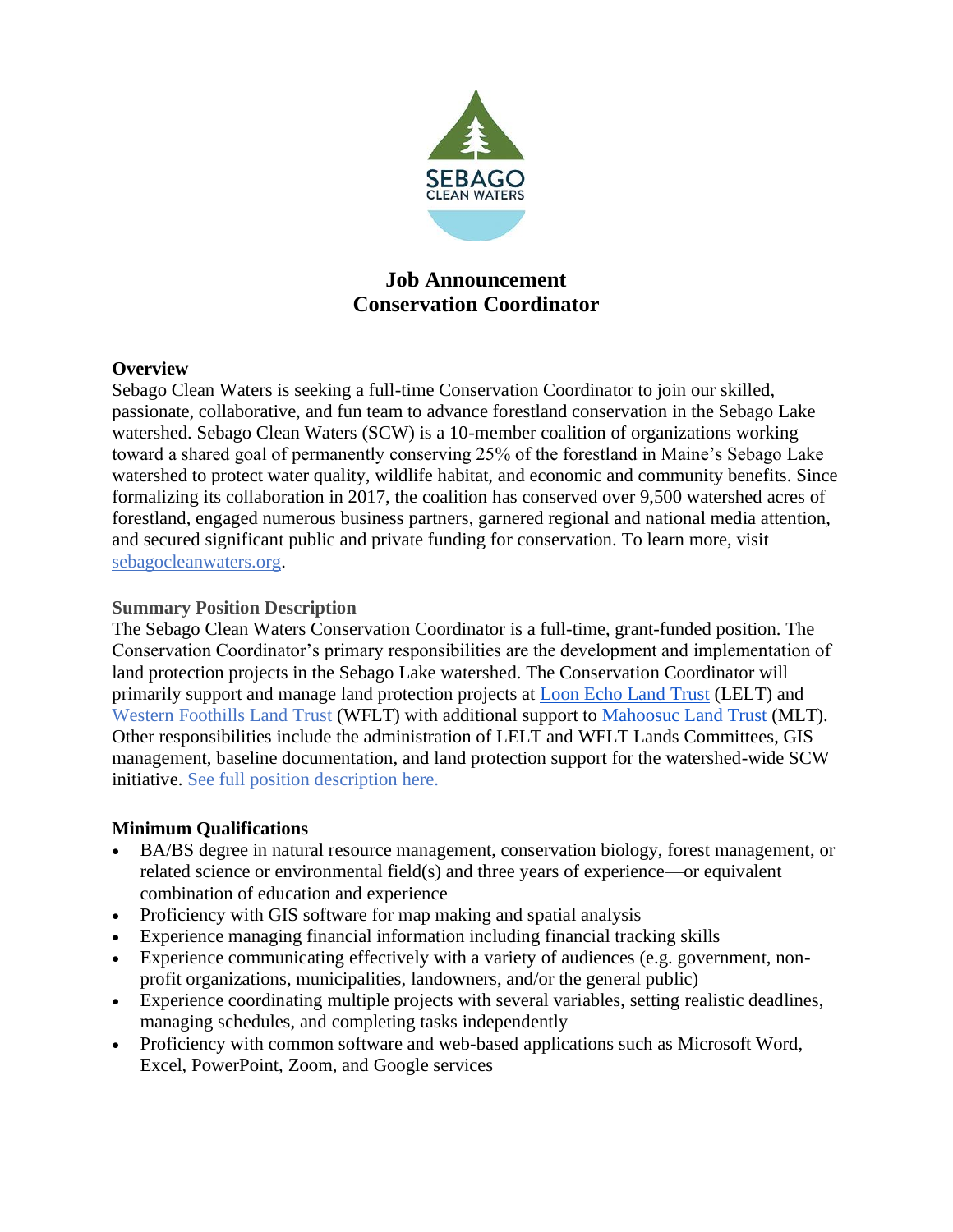

# **Job Announcement Conservation Coordinator**

### **Overview**

Sebago Clean Waters is seeking a full-time Conservation Coordinator to join our skilled, passionate, collaborative, and fun team to advance forestland conservation in the Sebago Lake watershed. Sebago Clean Waters (SCW) is a 10-member coalition of organizations working toward a shared goal of permanently conserving 25% of the forestland in Maine's Sebago Lake watershed to protect water quality, wildlife habitat, and economic and community benefits. Since formalizing its collaboration in 2017, the coalition has conserved over 9,500 watershed acres of forestland, engaged numerous business partners, garnered regional and national media attention, and secured significant public and private funding for conservation. To learn more, visit [sebagocleanwaters.org.](http://www.sebagocleanwaters.org/)

### **Summary Position Description**

The Sebago Clean Waters Conservation Coordinator is a full-time, grant-funded position. The Conservation Coordinator's primary responsibilities are the development and implementation of land protection projects in the Sebago Lake watershed. The Conservation Coordinator will primarily support and manage land protection projects at [Loon Echo Land Trust](https://www.lelt.org/) (LELT) and [Western Foothills Land Trust](https://www.wfltmaine.org/) (WFLT) with additional support to [Mahoosuc Land Trust](https://www.mahoosuc.org/) (MLT). Other responsibilities include the administration of LELT and WFLT Lands Committees, GIS management, baseline documentation, and land protection support for the watershed-wide SCW initiative. [See full position description here.](https://docs.google.com/document/d/1mVu8d8V6lM6sBDvwbylgu3JSNqOrUlE6/edit)

## **Minimum Qualifications**

- BA/BS degree in natural resource management, conservation biology, forest management, or related science or environmental field(s) and three years of experience—or equivalent combination of education and experience
- Proficiency with GIS software for map making and spatial analysis
- Experience managing financial information including financial tracking skills
- Experience communicating effectively with a variety of audiences (e.g. government, nonprofit organizations, municipalities, landowners, and/or the general public)
- Experience coordinating multiple projects with several variables, setting realistic deadlines, managing schedules, and completing tasks independently
- Proficiency with common software and web-based applications such as Microsoft Word, Excel, PowerPoint, Zoom, and Google services